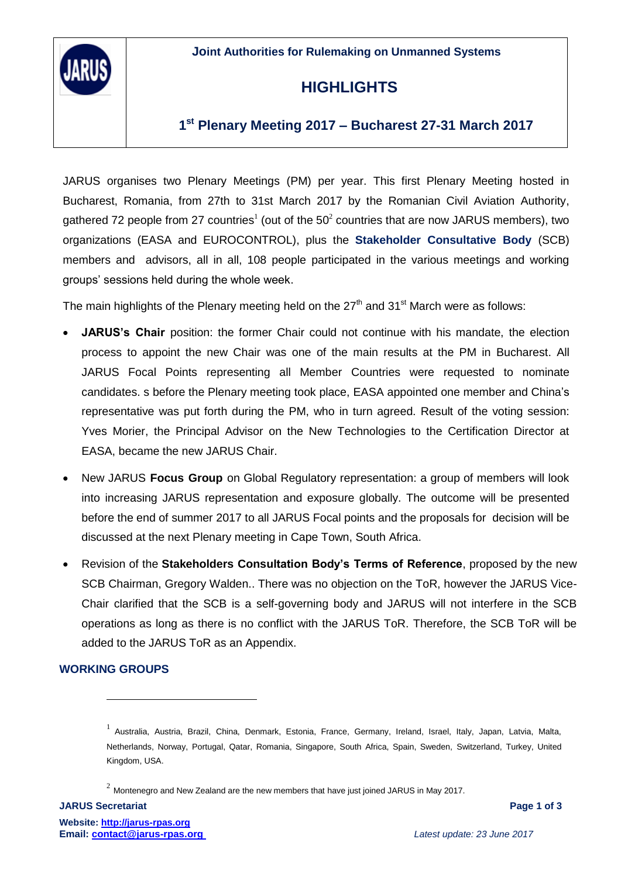**Joint Authorities for Rulemaking on Unmanned Systems**



## **HIGHLIGHTS**

### **1 st Plenary Meeting 2017 – Bucharest 27-31 March 2017**

JARUS organises two Plenary Meetings (PM) per year. This first Plenary Meeting hosted in Bucharest, Romania, from 27th to 31st March 2017 by the Romanian Civil Aviation Authority, gathered 72 people from 27 countries<sup>1</sup> (out of the 50<sup>2</sup> countries that are now JARUS members), two organizations (EASA and EUROCONTROL), plus the **Stakeholder Consultative Body** (SCB) members and advisors, all in all, 108 people participated in the various meetings and working groups' sessions held during the whole week.

The main highlights of the Plenary meeting held on the  $27<sup>th</sup>$  and  $31<sup>st</sup>$  March were as follows:

- **JARUS's Chair** position: the former Chair could not continue with his mandate, the election process to appoint the new Chair was one of the main results at the PM in Bucharest. All JARUS Focal Points representing all Member Countries were requested to nominate candidates. s before the Plenary meeting took place, EASA appointed one member and China's representative was put forth during the PM, who in turn agreed. Result of the voting session: Yves Morier, the Principal Advisor on the New Technologies to the Certification Director at EASA, became the new JARUS Chair.
- New JARUS **Focus Group** on Global Regulatory representation: a group of members will look into increasing JARUS representation and exposure globally. The outcome will be presented before the end of summer 2017 to all JARUS Focal points and the proposals for decision will be discussed at the next Plenary meeting in Cape Town, South Africa.
- Revision of the **Stakeholders Consultation Body's Terms of Reference**, proposed by the new SCB Chairman, Gregory Walden.. There was no objection on the ToR, however the JARUS Vice-Chair clarified that the SCB is a self-governing body and JARUS will not interfere in the SCB operations as long as there is no conflict with the JARUS ToR. Therefore, the SCB ToR will be added to the JARUS ToR as an Appendix.

### **WORKING GROUPS**

 $\overline{a}$ 

<sup>&</sup>lt;sup>1</sup> Australia, Austria, Brazil, China, Denmark, Estonia, France, Germany, Ireland, Israel, Italy, Japan, Latvia, Malta, Netherlands, Norway, Portugal, Qatar, Romania, Singapore, South Africa, Spain, Sweden, Switzerland, Turkey, United Kingdom, USA.

 $^2$  Montenegro and New Zealand are the new members that have just joined JARUS in May 2017.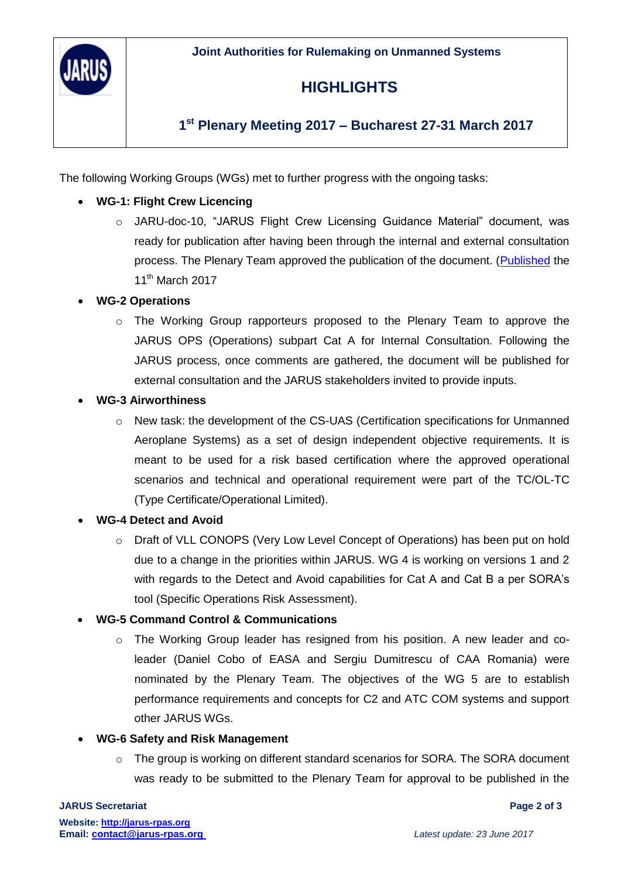

# **HIGHLIGHTS**

### **1 st Plenary Meeting 2017 – Bucharest 27-31 March 2017**

The following Working Groups (WGs) met to further progress with the ongoing tasks:

### **WG-1: Flight Crew Licencing**

o JARU-doc-10, "JARUS Flight Crew Licensing Guidance Material" document, was ready for publication after having been through the internal and external consultation process. The Plenary Team approved the publication of the document. [\(Published](../../jsanchez/AppData/Local/Microsoft/Windows/Temporary%20Internet%20Files/Content.Outlook/MR3OOWOI/JARUS%20organises%20two%20Plenary%20Meetings%20per%20year.%20This%20first%20Plenary%20Meeting%20hosted%20in%20Bucharest,%20Romania,%20from%2027th%20to%2031st%20March%202017%20by%20the%20Romanian%20Civil%20Aviation%20Authority%20gathered%2072%20people%20from%2027%20countries’%20members%20%20plus%20two%20organizations,%20EASA%20and%20EUROCONTROL,%20plus%20the%20Stakeholder%20Consultative%20Body%20(SCB)%20members%20and%20countries%20advisors,%20all%20in%20all,%20108%20people%20participated%20in%20the%20various%20meetings%20and%20working%20groups’%20sessions%20held%20during%20the%20whole%20week) the 11<sup>th</sup> March 2017

### **WG-2 Operations**

o The Working Group rapporteurs proposed to the Plenary Team to approve the JARUS OPS (Operations) subpart Cat A for Internal Consultation. Following the JARUS process, once comments are gathered, the document will be published for external consultation and the JARUS stakeholders invited to provide inputs.

#### **WG-3 Airworthiness**

o New task: the development of the CS-UAS (Certification specifications for Unmanned Aeroplane Systems) as a set of design independent objective requirements. It is meant to be used for a risk based certification where the approved operational scenarios and technical and operational requirement were part of the TC/OL-TC (Type Certificate/Operational Limited).

#### **WG-4 Detect and Avoid**

- o Draft of VLL CONOPS (Very Low Level Concept of Operations) has been put on hold due to a change in the priorities within JARUS. WG 4 is working on versions 1 and 2 with regards to the Detect and Avoid capabilities for Cat A and Cat B a per SORA's tool (Specific Operations Risk Assessment).
- **WG-5 Command Control & Communications**
	- o The Working Group leader has resigned from his position. A new leader and coleader (Daniel Cobo of EASA and Sergiu Dumitrescu of CAA Romania) were nominated by the Plenary Team. The objectives of the WG 5 are to establish performance requirements and concepts for C2 and ATC COM systems and support other JARUS WGs.

#### **WG-6 Safety and Risk Management**

 $\circ$  The group is working on different standard scenarios for SORA. The SORA document was ready to be submitted to the Plenary Team for approval to be published in the

#### **JARUS Secretariat Page 2 of 3**